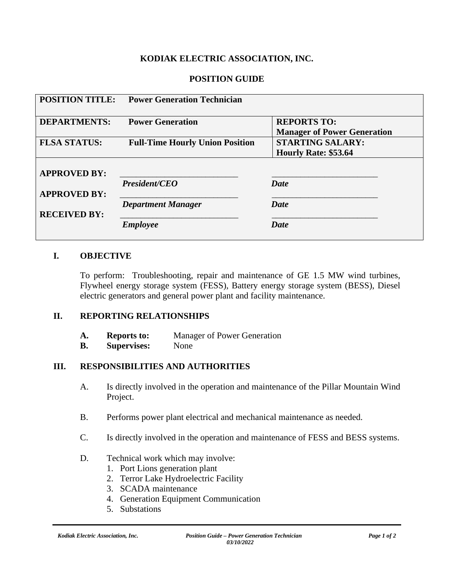### **KODIAK ELECTRIC ASSOCIATION, INC.**

### **POSITION GUIDE**

| <b>POSITION TITLE:</b> | <b>Power Generation Technician</b>     |                                                          |
|------------------------|----------------------------------------|----------------------------------------------------------|
| <b>DEPARTMENTS:</b>    | <b>Power Generation</b>                | <b>REPORTS TO:</b><br><b>Manager of Power Generation</b> |
| <b>FLSA STATUS:</b>    | <b>Full-Time Hourly Union Position</b> | <b>STARTING SALARY:</b>                                  |
|                        |                                        | Hourly Rate: \$53.64                                     |
| <b>APPROVED BY:</b>    |                                        |                                                          |
|                        | <b>President/CEO</b>                   | Date                                                     |
| <b>APPROVED BY:</b>    |                                        |                                                          |
|                        | <b>Department Manager</b>              | <b>Date</b>                                              |
| <b>RECEIVED BY:</b>    |                                        |                                                          |
|                        | <b>Employee</b>                        | <b>Date</b>                                              |

#### **I. OBJECTIVE**

To perform: Troubleshooting, repair and maintenance of GE 1.5 MW wind turbines, Flywheel energy storage system (FESS), Battery energy storage system (BESS), Diesel electric generators and general power plant and facility maintenance.

#### **II. REPORTING RELATIONSHIPS**

- **A. Reports to:** Manager of Power Generation
- **B. Supervises:** None

### **III. RESPONSIBILITIES AND AUTHORITIES**

- A. Is directly involved in the operation and maintenance of the Pillar Mountain Wind Project.
- B. Performs power plant electrical and mechanical maintenance as needed.
- C. Is directly involved in the operation and maintenance of FESS and BESS systems.
- D. Technical work which may involve:
	- 1. Port Lions generation plant
	- 2. Terror Lake Hydroelectric Facility
	- 3. SCADA maintenance
	- 4. Generation Equipment Communication
	- 5. Substations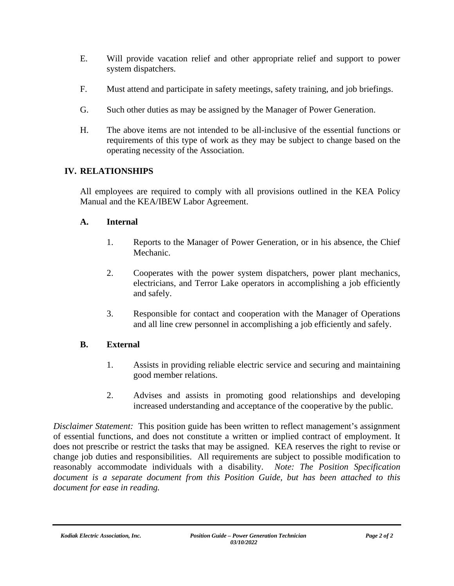- E. Will provide vacation relief and other appropriate relief and support to power system dispatchers.
- F. Must attend and participate in safety meetings, safety training, and job briefings.
- G. Such other duties as may be assigned by the Manager of Power Generation.
- H. The above items are not intended to be all-inclusive of the essential functions or requirements of this type of work as they may be subject to change based on the operating necessity of the Association.

## **IV. RELATIONSHIPS**

All employees are required to comply with all provisions outlined in the KEA Policy Manual and the KEA/IBEW Labor Agreement.

### **A. Internal**

- 1. Reports to the Manager of Power Generation, or in his absence, the Chief Mechanic.
- 2. Cooperates with the power system dispatchers, power plant mechanics, electricians, and Terror Lake operators in accomplishing a job efficiently and safely.
- 3. Responsible for contact and cooperation with the Manager of Operations and all line crew personnel in accomplishing a job efficiently and safely.

## **B. External**

- 1. Assists in providing reliable electric service and securing and maintaining good member relations.
- 2. Advises and assists in promoting good relationships and developing increased understanding and acceptance of the cooperative by the public.

*Disclaimer Statement:* This position guide has been written to reflect management's assignment of essential functions, and does not constitute a written or implied contract of employment. It does not prescribe or restrict the tasks that may be assigned. KEA reserves the right to revise or change job duties and responsibilities. All requirements are subject to possible modification to reasonably accommodate individuals with a disability. *Note: The Position Specification document is a separate document from this Position Guide, but has been attached to this document for ease in reading.*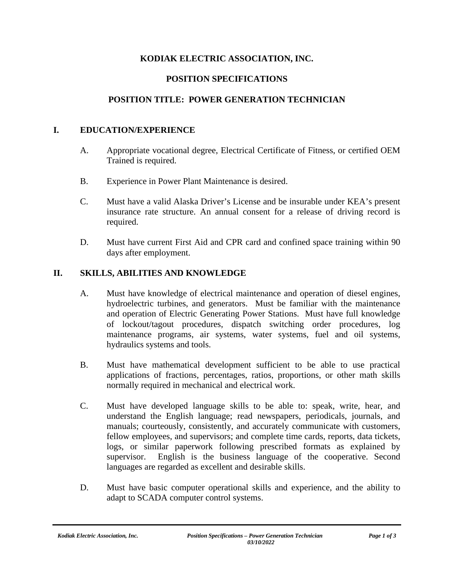## **KODIAK ELECTRIC ASSOCIATION, INC.**

### **POSITION SPECIFICATIONS**

### **POSITION TITLE: POWER GENERATION TECHNICIAN**

### **I. EDUCATION/EXPERIENCE**

- A. Appropriate vocational degree, Electrical Certificate of Fitness, or certified OEM Trained is required.
- B. Experience in Power Plant Maintenance is desired.
- C. Must have a valid Alaska Driver's License and be insurable under KEA's present insurance rate structure. An annual consent for a release of driving record is required.
- D. Must have current First Aid and CPR card and confined space training within 90 days after employment.

#### **II. SKILLS, ABILITIES AND KNOWLEDGE**

- A. Must have knowledge of electrical maintenance and operation of diesel engines, hydroelectric turbines, and generators. Must be familiar with the maintenance and operation of Electric Generating Power Stations. Must have full knowledge of lockout/tagout procedures, dispatch switching order procedures, log maintenance programs, air systems, water systems, fuel and oil systems, hydraulics systems and tools.
- B. Must have mathematical development sufficient to be able to use practical applications of fractions, percentages, ratios, proportions, or other math skills normally required in mechanical and electrical work.
- C. Must have developed language skills to be able to: speak, write, hear, and understand the English language; read newspapers, periodicals, journals, and manuals; courteously, consistently, and accurately communicate with customers, fellow employees, and supervisors; and complete time cards, reports, data tickets, logs, or similar paperwork following prescribed formats as explained by supervisor. English is the business language of the cooperative. Second languages are regarded as excellent and desirable skills.
- D. Must have basic computer operational skills and experience, and the ability to adapt to SCADA computer control systems.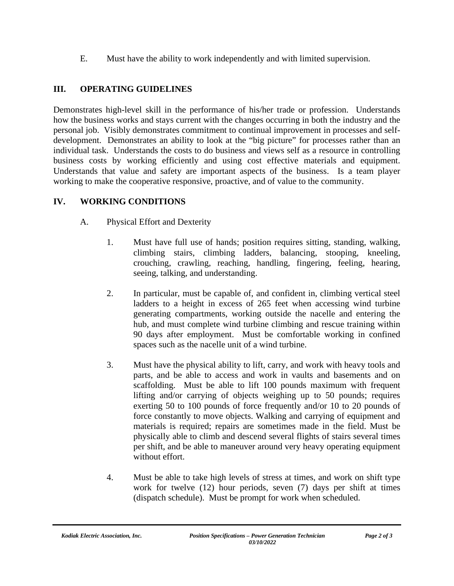E. Must have the ability to work independently and with limited supervision.

# **III. OPERATING GUIDELINES**

Demonstrates high-level skill in the performance of his/her trade or profession. Understands how the business works and stays current with the changes occurring in both the industry and the personal job. Visibly demonstrates commitment to continual improvement in processes and selfdevelopment. Demonstrates an ability to look at the "big picture" for processes rather than an individual task. Understands the costs to do business and views self as a resource in controlling business costs by working efficiently and using cost effective materials and equipment. Understands that value and safety are important aspects of the business. Is a team player working to make the cooperative responsive, proactive, and of value to the community.

## **IV. WORKING CONDITIONS**

- A. Physical Effort and Dexterity
	- 1. Must have full use of hands; position requires sitting, standing, walking, climbing stairs, climbing ladders, balancing, stooping, kneeling, crouching, crawling, reaching, handling, fingering, feeling, hearing, seeing, talking, and understanding.
	- 2. In particular, must be capable of, and confident in, climbing vertical steel ladders to a height in excess of 265 feet when accessing wind turbine generating compartments, working outside the nacelle and entering the hub, and must complete wind turbine climbing and rescue training within 90 days after employment. Must be comfortable working in confined spaces such as the nacelle unit of a wind turbine.
	- 3. Must have the physical ability to lift, carry, and work with heavy tools and parts, and be able to access and work in vaults and basements and on scaffolding. Must be able to lift 100 pounds maximum with frequent lifting and/or carrying of objects weighing up to 50 pounds; requires exerting 50 to 100 pounds of force frequently and/or 10 to 20 pounds of force constantly to move objects. Walking and carrying of equipment and materials is required; repairs are sometimes made in the field. Must be physically able to climb and descend several flights of stairs several times per shift, and be able to maneuver around very heavy operating equipment without effort.
	- 4. Must be able to take high levels of stress at times, and work on shift type work for twelve (12) hour periods, seven (7) days per shift at times (dispatch schedule). Must be prompt for work when scheduled.